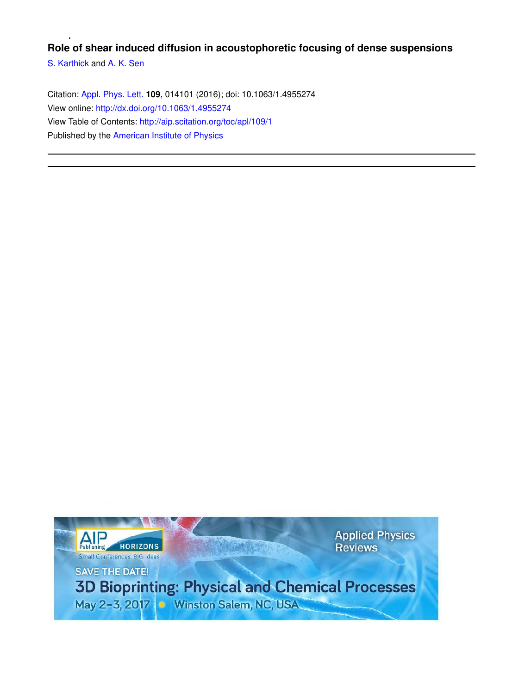## **Role of shear induced diffusion in acoustophoretic focusing of dense suspensions**

S. Karthick and A. K. Sen

Citation: Appl. Phys. Lett. **109**, 014101 (2016); doi: 10.1063/1.4955274 View online: http://dx.doi.org/10.1063/1.4955274 View Table of Contents: http://aip.scitation.org/toc/apl/109/1 Published by the American Institute of Physics

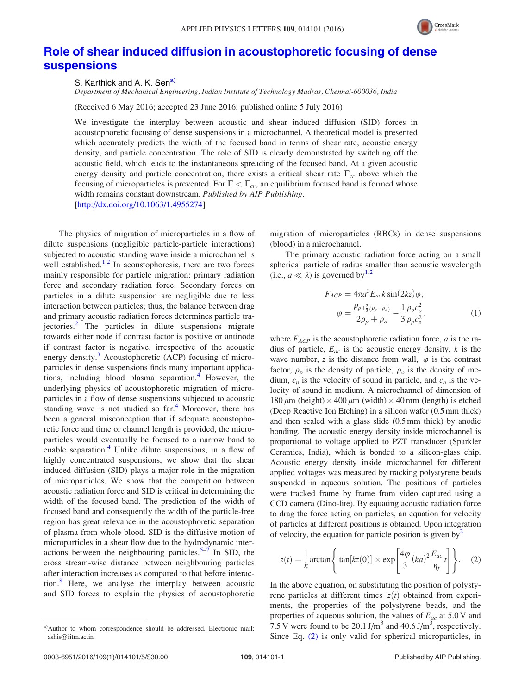

## Role of shear induced diffusion in acoustophoretic focusing of dense suspensions

S. Karthick and A. K. Sen<sup>a)</sup>

Department of Mechanical Engineering, Indian Institute of Technology Madras, Chennai-600036, India

(Received 6 May 2016; accepted 23 June 2016; published online 5 July 2016)

We investigate the interplay between acoustic and shear induced diffusion (SID) forces in acoustophoretic focusing of dense suspensions in a microchannel. A theoretical model is presented which accurately predicts the width of the focused band in terms of shear rate, acoustic energy density, and particle concentration. The role of SID is clearly demonstrated by switching off the acoustic field, which leads to the instantaneous spreading of the focused band. At a given acoustic energy density and particle concentration, there exists a critical shear rate  $\Gamma_{cr}$  above which the focusing of microparticles is prevented. For  $\Gamma < \Gamma_{cr}$ , an equilibrium focused band is formed whose width remains constant downstream. Published by AIP Publishing. [http://dx.doi.org/10.1063/1.4955274]

The physics of migration of microparticles in a flow of dilute suspensions (negligible particle-particle interactions) subjected to acoustic standing wave inside a microchannel is well established.<sup>1,2</sup> In acoustophoresis, there are two forces mainly responsible for particle migration: primary radiation force and secondary radiation force. Secondary forces on particles in a dilute suspension are negligible due to less interaction between particles; thus, the balance between drag and primary acoustic radiation forces determines particle trajectories.<sup>2</sup> The particles in dilute suspensions migrate towards either node if contrast factor is positive or antinode if contrast factor is negative, irrespective of the acoustic energy density.<sup>3</sup> Acoustophoretic (ACP) focusing of microparticles in dense suspensions finds many important applications, including blood plasma separation.<sup>4</sup> However, the underlying physics of acoustophoretic migration of microparticles in a flow of dense suspensions subjected to acoustic standing wave is not studied so  $far<sup>4</sup>$ . Moreover, there has been a general misconception that if adequate acoustophoretic force and time or channel length is provided, the microparticles would eventually be focused to a narrow band to enable separation.<sup>4</sup> Unlike dilute suspensions, in a flow of highly concentrated suspensions, we show that the shear induced diffusion (SID) plays a major role in the migration of microparticles. We show that the competition between acoustic radiation force and SID is critical in determining the width of the focused band. The prediction of the width of focused band and consequently the width of the particle-free region has great relevance in the acoustophoretic separation of plasma from whole blood. SID is the diffusive motion of microparticles in a shear flow due to the hydrodynamic interactions between the neighbouring particles.<sup>5–7</sup> In SID, the cross stream-wise distance between neighbouring particles after interaction increases as compared to that before interaction.<sup>8</sup> Here, we analyse the interplay between acoustic and SID forces to explain the physics of acoustophoretic migration of microparticles (RBCs) in dense suspensions (blood) in a microchannel.

The primary acoustic radiation force acting on a small spherical particle of radius smaller than acoustic wavelength (i.e.,  $a \ll \lambda$ ) is governed by<sup>1,2</sup>

$$
F_{ACP} = 4\pi a^3 E_{ac} k \sin(2kz) \varphi,
$$
  

$$
\varphi = \frac{\rho_{p+\frac{2}{3}(\rho_p - \rho_o)}}{2\rho_p + \rho_o} - \frac{1}{3} \frac{\rho_o c_o^2}{\rho_p c_p^2},
$$
 (1)

where  $F_{ACP}$  is the acoustophoretic radiation force, *a* is the radius of particle,  $E_{ac}$  is the acoustic energy density, k is the wave number, z is the distance from wall,  $\varphi$  is the contrast factor,  $\rho_p$  is the density of particle,  $\rho_o$  is the density of medium,  $c_p$  is the velocity of sound in particle, and  $c_o$  is the velocity of sound in medium. A microchannel of dimension of 180  $\mu$ m (height)  $\times$  400  $\mu$ m (width)  $\times$  40 mm (length) is etched (Deep Reactive Ion Etching) in a silicon wafer (0.5 mm thick) and then sealed with a glass slide (0.5 mm thick) by anodic bonding. The acoustic energy density inside microchannel is proportional to voltage applied to PZT transducer (Sparkler Ceramics, India), which is bonded to a silicon-glass chip. Acoustic energy density inside microchannel for different applied voltages was measured by tracking polystyrene beads suspended in aqueous solution. The positions of particles were tracked frame by frame from video captured using a CCD camera (Dino-lite). By equating acoustic radiation force to drag the force acting on particles, an equation for velocity of particles at different positions is obtained. Upon integration of velocity, the equation for particle position is given by  $\frac{1}{2}$ 

$$
z(t) = \frac{1}{k} \arctan\left\{\tan[kz(0)] \times \exp\left[\frac{4\varphi}{3}(ka)^2 \frac{E_{ac}}{\eta_f}t\right]\right\}.
$$
 (2)

In the above equation, on substituting the position of polystyrene particles at different times  $z(t)$  obtained from experiments, the properties of the polystyrene beads, and the properties of aqueous solution, the values of  $E_{ac}$  at 5.0 V and 7.5 V were found to be 20.1 J/m<sup>3</sup> and 40.6 J/m<sup>3</sup>, respectively. Since Eq. (2) is only valid for spherical microparticles, in

a)Author to whom correspondence should be addressed. Electronic mail: ashis@iitm.ac.in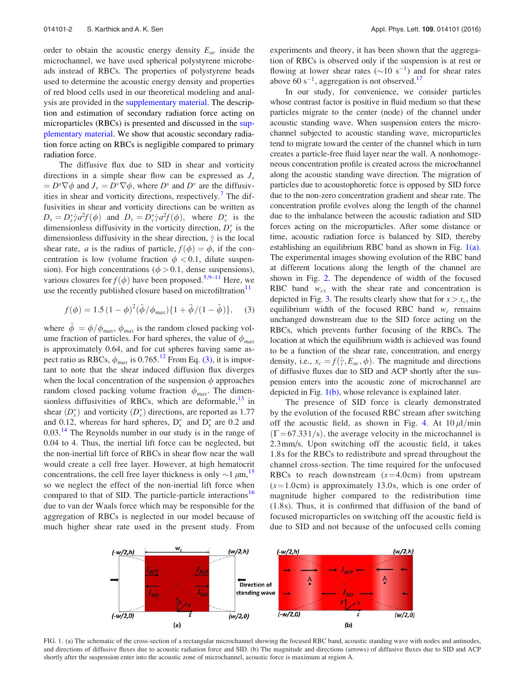order to obtain the acoustic energy density  $E_{ac}$  inside the microchannel, we have used spherical polystyrene microbeads instead of RBCs. The properties of polystyrene beads used to determine the acoustic energy density and properties of red blood cells used in our theoretical modeling and analysis are provided in the supplementary material. The description and estimation of secondary radiation force acting on microparticles (RBCs) is presented and discussed in the supplementary material. We show that acoustic secondary radiation force acting on RBCs is negligible compared to primary radiation force.

The diffusive flux due to SID in shear and vorticity directions in a simple shear flow can be expressed as  $J_s$  $= D^s \nabla \phi$  and  $J_v = D^v \nabla \phi$ , where  $D^s$  and  $D^v$  are the diffusivities in shear and vorticity directions, respectively.<sup>7</sup> The diffusivities in shear and vorticity directions can be written as  $D_s = D_s^* \dot{\gamma} a^2 f(\phi)$  and  $D_v = D_v^* \dot{\gamma} a^2 f(\phi)$ , where  $D_v^*$  is the dimensionless diffusivity in the vorticity direction,  $D_s^*$  is the dimensionless diffusivity in the shear direction,  $\dot{\gamma}$  is the local shear rate, a is the radius of particle,  $f(\phi) = \phi$ , if the concentration is low (volume fraction  $\phi$  < 0.1, dilute suspension). For high concentrations ( $\phi > 0.1$ , dense suspensions), various closures for  $f(\phi)$  have been proposed.<sup>5,9–11</sup> Here, we use the recently published closure based on microfiltration<sup>11</sup>

$$
f(\phi) = 1.5 (1 - \phi)^2 (\tilde{\phi} / \phi_{max}) \{ 1 + \tilde{\phi} / (1 - \tilde{\phi}) \}, \quad (3)
$$

where  $\tilde{\phi} = \phi / \phi_{max}, \phi_{max}$  is the random closed packing volume fraction of particles. For hard spheres, the value of  $\phi_{max}$ is approximately 0.64, and for cut spheres having same aspect ratio as RBCs,  $\phi_{max}$  is 0.765.<sup>12</sup> From Eq. (3), it is important to note that the shear induced diffusion flux diverges when the local concentration of the suspension  $\phi$  approaches random closed packing volume fraction  $\phi_{max}$ . The dimensionless diffusivities of RBCs, which are deformable,  $13$  in shear  $(D_s^*)$  and vorticity  $(D_v^*)$  directions, are reported as 1.77 and 0.12, whereas for hard spheres,  $D_s^*$  and  $D_v^*$  are 0.2 and  $0.03<sup>14</sup>$  The Reynolds number in our study is in the range of 0.04 to 4. Thus, the inertial lift force can be neglected, but the non-inertial lift force of RBCs in shear flow near the wall would create a cell free layer. However, at high hematocrit concentrations, the cell free layer thickness is only  $\sim$ 1  $\mu$ m,<sup>15</sup> so we neglect the effect of the non-inertial lift force when compared to that of SID. The particle-particle interactions<sup>16</sup> due to van der Waals force which may be responsible for the aggregation of RBCs is neglected in our model because of much higher shear rate used in the present study. From experiments and theory, it has been shown that the aggregation of RBCs is observed only if the suspension is at rest or flowing at lower shear rates  $(\sim 10 \text{ s}^{-1})$  and for shear rates above  $60 s^{-1}$ , aggregation is not observed.<sup>17</sup>

In our study, for convenience, we consider particles whose contrast factor is positive in fluid medium so that these particles migrate to the center (node) of the channel under acoustic standing wave. When suspension enters the microchannel subjected to acoustic standing wave, microparticles tend to migrate toward the center of the channel which in turn creates a particle-free fluid layer near the wall. A nonhomogeneous concentration profile is created across the microchannel along the acoustic standing wave direction. The migration of particles due to acoustophoretic force is opposed by SID force due to the non-zero concentration gradient and shear rate. The concentration profile evolves along the length of the channel due to the imbalance between the acoustic radiation and SID forces acting on the microparticles. After some distance or time, acoustic radiation force is balanced by SID, thereby establishing an equilibrium RBC band as shown in Fig. 1(a). The experimental images showing evolution of the RBC band at different locations along the length of the channel are shown in Fig. 2. The dependence of width of the focused RBC band  $w_{cx}$  with the shear rate and concentration is depicted in Fig. 3. The results clearly show that for  $x > x_c$ , the equilibrium width of the focused RBC band  $w_c$  remains unchanged downstream due to the SID force acting on the RBCs, which prevents further focusing of the RBCs. The location at which the equilibrium width is achieved was found to be a function of the shear rate, concentration, and energy density, i.e.,  $x_c = f(\dot{\gamma}, E_{ac}, \phi)$ . The magnitude and directions of diffusive fluxes due to SID and ACP shortly after the suspension enters into the acoustic zone of microchannel are depicted in Fig. 1(b), whose relevance is explained later.

The presence of SID force is clearly demonstrated by the evolution of the focused RBC stream after switching off the acoustic field, as shown in Fig. 4. At  $10 \mu l/min$  $(\Gamma$  = 67.331/s), the average velocity in the microchannel is 2.3mm/s. Upon switching off the acoustic field, it takes 1.8s for the RBCs to redistribute and spread throughout the channel cross-section. The time required for the unfocused RBCs to reach downstream  $(x=4.0cm)$  from upstream  $(x=1.0cm)$  is approximately 13.0s, which is one order of magnitude higher compared to the redistribution time (1.8s). Thus, it is confirmed that diffusion of the band of focused microparticles on switching off the acoustic field is due to SID and not because of the unfocused cells coming



FIG. 1. (a) The schematic of the cross-section of a rectangular microchannel showing the focused RBC band, acoustic standing wave with nodes and antinodes, and directions of diffusive fluxes due to acoustic radiation force and SID. (b) The magnitude and directions (arrows) of diffusive fluxes due to SID and ACP shortly after the suspension enter into the acoustic zone of microchannel, acoustic force is maximum at region A.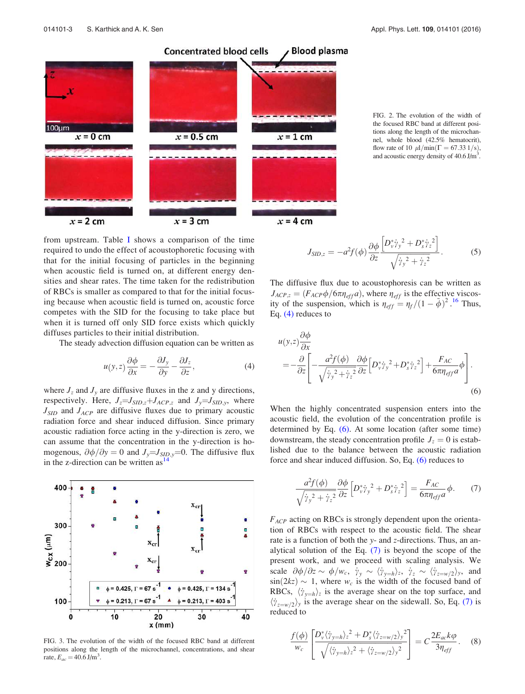

FIG. 2. The evolution of the width of the focused RBC band at different positions along the length of the microchannel, whole blood (42.5% hematocrit), flow rate of 10  $\mu$ l/min( $\Gamma$  = 67.33 1/s), and acoustic energy density of  $40.6 \text{ J/m}^3$ .

from upstream. Table I shows a comparison of the time required to undo the effect of acoustophoretic focusing with that for the initial focusing of particles in the beginning when acoustic field is turned on, at different energy densities and shear rates. The time taken for the redistribution of RBCs is smaller as compared to that for the initial focusing because when acoustic field is turned on, acoustic force competes with the SID for the focusing to take place but when it is turned off only SID force exists which quickly diffuses particles to their initial distribution.

The steady advection diffusion equation can be written as

$$
u(y, z)\frac{\partial \phi}{\partial x} = -\frac{\partial J_y}{\partial y} - \frac{\partial J_z}{\partial z},\tag{4}
$$

where  $J_z$  and  $J_y$  are diffusive fluxes in the z and y directions, respectively. Here,  $J_z = J_{SID,z} + J_{ACP,z}$  and  $J_y = J_{SID,y}$ , where  $J_{SID}$  and  $J_{ACP}$  are diffusive fluxes due to primary acoustic radiation force and shear induced diffusion. Since primary acoustic radiation force acting in the y-direction is zero, we can assume that the concentration in the y-direction is homogenous,  $\partial \phi / \partial y = 0$  and  $J_y = J_{\text{SID},y} = 0$ . The diffusive flux in the z-direction can be written as  $14$ 



FIG. 3. The evolution of the width of the focused RBC band at different positions along the length of the microchannel, concentrations, and shear rate,  $E_{ac} = 40.6 \text{ J/m}^3$ .

$$
J_{SID,z} = -a^2 f(\phi) \frac{\partial \phi}{\partial z} \frac{\left[D_v^* \dot{\gamma}_y^2 + D_s^* \dot{\gamma}_z^2\right]}{\sqrt{\dot{\gamma}_y^2 + \dot{\gamma}_z^2}}.
$$
 (5)

The diffusive flux due to acoustophoresis can be written as  $J_{ACP,z} = (F_{ACP}\phi/6\pi\eta_{eff}a)$ , where  $\eta_{eff}$  is the effective viscosity of the suspension, which is  $\eta_{eff} = \eta_f/(1 - \tilde{\phi})^2$ .<sup>16</sup> Thus, Eq. (4) reduces to

$$
u(y,z)\frac{\partial\phi}{\partial x}
$$
  
= 
$$
-\frac{\partial}{\partial z}\left[-\frac{a^2f(\phi)}{\sqrt{\dot{\gamma}_y^2 + \dot{\gamma}_z^2}}\frac{\partial\phi}{\partial z}\left[D_v^*\dot{\gamma}_y^2 + D_s^*\dot{\gamma}_z^2\right] + \frac{F_{AC}}{6\pi\eta_{eff}a}\phi\right].
$$
 (6)

When the highly concentrated suspension enters into the acoustic field, the evolution of the concentration profile is determined by Eq. (6). At some location (after some time) downstream, the steady concentration profile  $J_z = 0$  is established due to the balance between the acoustic radiation force and shear induced diffusion. So, Eq. (6) reduces to

$$
\frac{a^2 f(\phi)}{\sqrt{{\dot{\gamma}}_y^2 + {\dot{\gamma}}_z^2}} \frac{\partial \phi}{\partial z} \left[ D_v^* {\dot{\gamma}}_y^2 + D_s^* {\dot{\gamma}}_z^2 \right] = \frac{F_{AC}}{6\pi \eta_{eff} a} \phi. \tag{7}
$$

 $F_{ACP}$  acting on RBCs is strongly dependent upon the orientation of RBCs with respect to the acoustic field. The shear rate is a function of both the y- and z-directions. Thus, an analytical solution of the Eq. (7) is beyond the scope of the present work, and we proceed with scaling analysis. We scale  $\partial \phi / \partial z \sim \phi / w_c$ ,  $\dot{y}_y \sim \langle \dot{y}_{y=h} \rangle_z$ ,  $\dot{y}_z \sim \langle \dot{y}_{z=w/2} \rangle_y$ , and  $sin(2kz) \sim 1$ , where  $w_c$  is the width of the focused band of RBCs,  $\langle \dot{\gamma}_{y=h} \rangle_z$  is the average shear on the top surface, and  $\langle \dot{\gamma}_{z=w/2} \rangle_y$  is the average shear on the sidewall. So, Eq. (7) is reduced to

$$
\frac{f(\phi)}{w_c} \left[ \frac{D_v^* \langle \dot{\gamma}_{y=h} \rangle_z^2 + D_s^* \langle \dot{\gamma}_{z=w/2} \rangle_y^2}{\sqrt{\langle \dot{\gamma}_{y=h} \rangle_z^2 + \langle \dot{\gamma}_{z=w/2} \rangle_y^2}} \right] = C \frac{2E_{ac} k \varphi}{3\eta_{eff}}.
$$
 (8)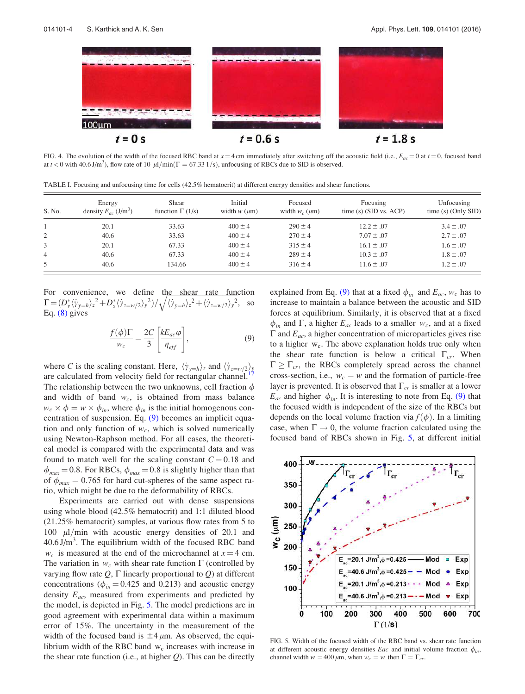

FIG. 4. The evolution of the width of the focused RBC band at  $x = 4$  cm immediately after switching off the acoustic field (i.e.,  $E_{ac} = 0$  at  $t = 0$ , focused band at  $t < 0$  with 40.6 J/m<sup>3</sup>), flow rate of 10  $\mu$ l/min( $\Gamma = 67.33$  1/s), unfocusing of RBCs due to SID is observed.

TABLE I. Focusing and unfocusing time for cells (42.5% hematocrit) at different energy densities and shear functions.

| S. No. | Energy<br>density $E_{ac}$ (J/m <sup>3</sup> ) | Shear<br>function $\Gamma$ (1/s) | Initial<br>width $w$ ( $\mu$ m) | Focused<br>width $w_c$ ( $\mu$ m) | Focusing<br>time $(s)$ (SID vs. ACP) | Unfocusing<br>time $(s)$ (Only SID) |
|--------|------------------------------------------------|----------------------------------|---------------------------------|-----------------------------------|--------------------------------------|-------------------------------------|
|        | 20.1                                           | 33.63                            | $400 \pm 4$                     | $290 \pm 4$                       | $12.2 \pm .07$                       | $3.4 \pm .07$                       |
|        | 40.6                                           | 33.63                            | $400 \pm 4$                     | $270 \pm 4$                       | $7.07 \pm .07$                       | $2.7 \pm .07$                       |
|        | 20.1                                           | 67.33                            | $400 \pm 4$                     | $315 \pm 4$                       | $16.1 \pm .07$                       | $1.6 \pm .07$                       |
| 4      | 40.6                                           | 67.33                            | $400 \pm 4$                     | $289 \pm 4$                       | $10.3 \pm .07$                       | $1.8 \pm .07$                       |
| 5      | 40.6                                           | 134.66                           | $400 \pm 4$                     | $316 \pm 4$                       | $11.6 \pm .07$                       | $1.2 \pm .07$                       |

For convenience, we define the shear rate function  $\Gamma = (D_v^* \langle \dot{\gamma}_{y=h} \rangle_z^2 + D_s^* \langle \dot{\gamma}_{z=w/2} \rangle_y^2) / \sqrt{\langle \dot{\gamma}_{y=h} \rangle_z^2 + \langle \dot{\gamma}_{z=w/2} \rangle_y^2}$ , so Eq. (8) gives

$$
\frac{f(\phi)\Gamma}{w_c} = \frac{2C}{3} \left[ \frac{kE_{ac}\varphi}{\eta_{eff}} \right],
$$
\n(9)

where C is the scaling constant. Here,  $\langle \dot{\gamma}_{y=h} \rangle_z$  and  $\langle \dot{\gamma}_{z=w/2} \rangle_y$ are calculated from velocity field for rectangular channel. The relationship between the two unknowns, cell fraction  $\phi$ and width of band  $w_c$ , is obtained from mass balance  $w_c \times \phi = w \times \phi_{in}$ , where  $\phi_{in}$  is the initial homogenous concentration of suspension. Eq. (9) becomes an implicit equation and only function of  $w_c$ , which is solved numerically using Newton-Raphson method. For all cases, the theoretical model is compared with the experimental data and was found to match well for the scaling constant  $C = 0.18$  and  $\phi_{max} = 0.8$ . For RBCs,  $\phi_{max} = 0.8$  is slightly higher than that of  $\phi_{max} = 0.765$  for hard cut-spheres of the same aspect ratio, which might be due to the deformability of RBCs.

Experiments are carried out with dense suspensions using whole blood (42.5% hematocrit) and 1:1 diluted blood (21.25% hematocrit) samples, at various flow rates from 5 to 100  $\mu$ l/min with acoustic energy densities of 20.1 and  $40.6$  J/m<sup>3</sup>. The equilibrium width of the focused RBC band  $w_c$  is measured at the end of the microchannel at  $x = 4$  cm. The variation in  $w_c$  with shear rate function  $\Gamma$  (controlled by varying flow rate  $Q$ ,  $\Gamma$  linearly proportional to  $Q$ ) at different concentrations ( $\phi_{in} = 0.425$  and 0.213) and acoustic energy density  $E_{ac}$ , measured from experiments and predicted by the model, is depicted in Fig. 5. The model predictions are in good agreement with experimental data within a maximum error of 15%. The uncertainty in the measurement of the width of the focused band is  $\pm 4 \mu$ m. As observed, the equilibrium width of the RBC band  $w_c$  increases with increase in the shear rate function (i.e., at higher  $Q$ ). This can be directly explained from Eq. (9) that at a fixed  $\phi_{in}$  and  $E_{ac}$ ,  $w_c$  has to increase to maintain a balance between the acoustic and SID forces at equilibrium. Similarly, it is observed that at a fixed  $\phi_{in}$  and  $\Gamma$ , a higher  $E_{ac}$  leads to a smaller  $w_c$ , and at a fixed  $\Gamma$  and  $E_{ac}$ , a higher concentration of microparticles gives rise to a higher  $w_c$ . The above explanation holds true only when the shear rate function is below a critical  $\Gamma_{cr}$ . When  $\Gamma \geq \Gamma_{cr}$ , the RBCs completely spread across the channel cross-section, i.e.,  $w_c = w$  and the formation of particle-free layer is prevented. It is observed that  $\Gamma_{cr}$  is smaller at a lower  $E_{ac}$  and higher  $\phi_{in}$ . It is interesting to note from Eq. (9) that the focused width is independent of the size of the RBCs but depends on the local volume fraction via  $f(\phi)$ . In a limiting case, when  $\Gamma \rightarrow 0$ , the volume fraction calculated using the focused band of RBCs shown in Fig. 5, at different initial



FIG. 5. Width of the focused width of the RBC band vs. shear rate function at different acoustic energy densities *Eac* and initial volume fraction  $\phi_{in}$ , channel width  $w = 400 \mu m$ , when  $w_c = w$  then  $\Gamma = \Gamma_{cr}$ .